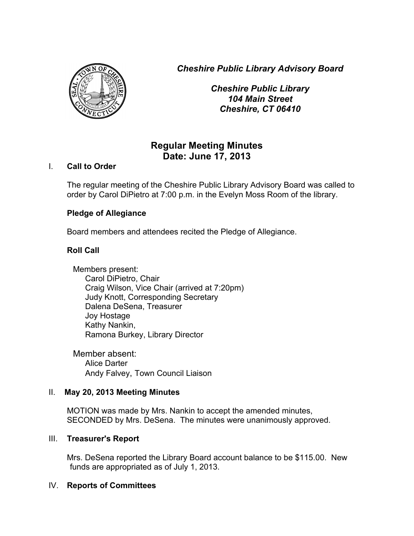*Cheshire Public Library Advisory Board*



*Cheshire Public Library 104 Main Street Cheshire, CT 06410*

# **Regular Meeting Minutes Date: June 17, 2013**

# I. **Call to Order**

The regular meeting of the Cheshire Public Library Advisory Board was called to order by Carol DiPietro at 7:00 p.m. in the Evelyn Moss Room of the library.

# **Pledge of Allegiance**

Board members and attendees recited the Pledge of Allegiance.

# **Roll Call**

Members present: Carol DiPietro, Chair Craig Wilson, Vice Chair (arrived at 7:20pm) Judy Knott, Corresponding Secretary Dalena DeSena, Treasurer Joy Hostage Kathy Nankin, Ramona Burkey, Library Director

Member absent: Alice Darter Andy Falvey, Town Council Liaison

### II. **May 20, 2013 Meeting Minutes**

MOTION was made by Mrs. Nankin to accept the amended minutes, SECONDED by Mrs. DeSena. The minutes were unanimously approved.

### III. **Treasurer's Report**

Mrs. DeSena reported the Library Board account balance to be \$115.00. New funds are appropriated as of July 1, 2013.

### IV. **Reports of Committees**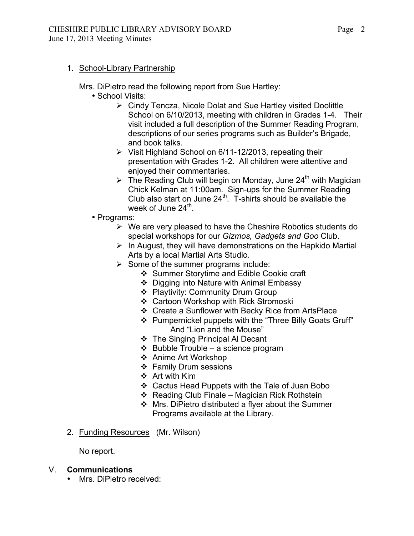1. School-Library Partnership

Mrs. DiPietro read the following report from Sue Hartley:

- School Visits:
	- $\triangleright$  Cindy Tencza, Nicole Dolat and Sue Hartley visited Doolittle School on 6/10/2013, meeting with children in Grades 1-4. Their visit included a full description of the Summer Reading Program, descriptions of our series programs such as Builder's Brigade, and book talks.
	- $\triangleright$  Visit Highland School on 6/11-12/2013, repeating their presentation with Grades 1-2. All children were attentive and enjoyed their commentaries.
	- $\triangleright$  The Reading Club will begin on Monday, June 24<sup>th</sup> with Magician Chick Kelman at 11:00am. Sign-ups for the Summer Reading Club also start on June  $24<sup>th</sup>$ . T-shirts should be available the week of June  $24<sup>th</sup>$ .
- Programs:
	- $\triangleright$  We are very pleased to have the Cheshire Robotics students do special workshops for our *Gizmos, Gadgets and Goo* Club.
	- $\triangleright$  In August, they will have demonstrations on the Hapkido Martial Arts by a local Martial Arts Studio.
	- $\triangleright$  Some of the summer programs include:
		- ❖ Summer Storytime and Edible Cookie craft
		- ❖ Digging into Nature with Animal Embassy
		- ❖ Playtivity: Community Drum Group
		- ❖ Cartoon Workshop with Rick Stromoski
		- Create a Sunflower with Becky Rice from ArtsPlace
		- Pumpernickel puppets with the "Three Billy Goats Gruff" And "Lion and the Mouse"
		- The Singing Principal Al Decant
		- $\triangleleft$  Bubble Trouble a science program
		- ❖ Anime Art Workshop
		- ❖ Family Drum sessions
		- Art with Kim
		- Cactus Head Puppets with the Tale of Juan Bobo
		- $\div$  Reading Club Finale Magician Rick Rothstein
		- Mrs. DiPietro distributed a flyer about the Summer Programs available at the Library.
- 2. Funding Resources (Mr. Wilson)

No report.

### V. **Communications**

• Mrs. DiPietro received: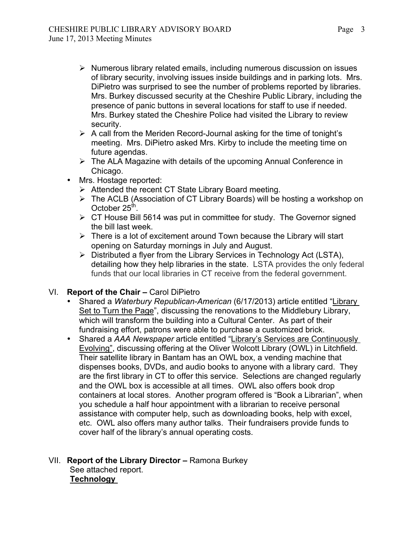- $\triangleright$  Numerous library related emails, including numerous discussion on issues of library security, involving issues inside buildings and in parking lots. Mrs. DiPietro was surprised to see the number of problems reported by libraries. Mrs. Burkey discussed security at the Cheshire Public Library, including the presence of panic buttons in several locations for staff to use if needed. Mrs. Burkey stated the Cheshire Police had visited the Library to review security.
- $\triangleright$  A call from the Meriden Record-Journal asking for the time of tonight's meeting. Mrs. DiPietro asked Mrs. Kirby to include the meeting time on future agendas.
- $\triangleright$  The ALA Magazine with details of the upcoming Annual Conference in Chicago.
- Mrs. Hostage reported:
	- $\triangleright$  Attended the recent CT State Library Board meeting.
	- The ACLB (Association of CT Library Boards) will be hosting a workshop on October  $25<sup>th</sup>$ .
	- $\triangleright$  CT House Bill 5614 was put in committee for study. The Governor signed the bill last week.
	- $\triangleright$  There is a lot of excitement around Town because the Library will start opening on Saturday mornings in July and August.
	- $\triangleright$  Distributed a flyer from the Library Services in Technology Act (LSTA), detailing how they help libraries in the state. LSTA provides the only federal funds that our local libraries in CT receive from the federal government.

# VI. **Report of the Chair –** Carol DiPietro

- Shared a *Waterbury Republican-American* (6/17/2013) article entitled "Library Set to Turn the Page", discussing the renovations to the Middlebury Library, which will transform the building into a Cultural Center. As part of their fundraising effort, patrons were able to purchase a customized brick.
- Shared a *AAA Newspaper* article entitled "Library's Services are Continuously Evolving", discussing offering at the Oliver Wolcott Library (OWL) in Litchfield. Their satellite library in Bantam has an OWL box, a vending machine that dispenses books, DVDs, and audio books to anyone with a library card. They are the first library in CT to offer this service. Selections are changed regularly and the OWL box is accessible at all times. OWL also offers book drop containers at local stores. Another program offered is "Book a Librarian", when you schedule a half hour appointment with a librarian to receive personal assistance with computer help, such as downloading books, help with excel, etc. OWL also offers many author talks. Their fundraisers provide funds to cover half of the library's annual operating costs.

### VII. **Report of the Library Director –** Ramona Burkey See attached report. **Technology**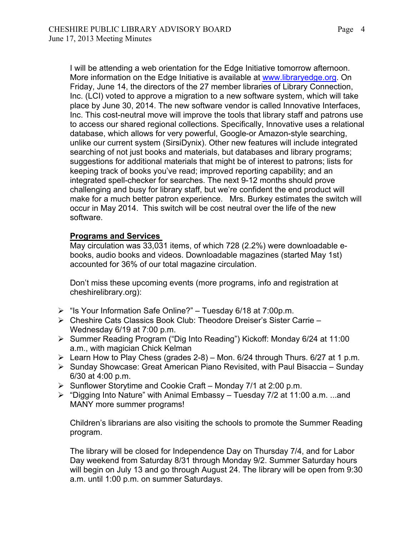I will be attending a web orientation for the Edge Initiative tomorrow afternoon. More information on the Edge Initiative is available at www.libraryedge.org. On Friday, June 14, the directors of the 27 member libraries of Library Connection, Inc. (LCI) voted to approve a migration to a new software system, which will take place by June 30, 2014. The new software vendor is called Innovative Interfaces, Inc. This cost-neutral move will improve the tools that library staff and patrons use to access our shared regional collections. Specifically, Innovative uses a relational database, which allows for very powerful, Google-or Amazon-style searching, unlike our current system (SirsiDynix). Other new features will include integrated searching of not just books and materials, but databases and library programs; suggestions for additional materials that might be of interest to patrons; lists for keeping track of books you've read; improved reporting capability; and an integrated spell-checker for searches. The next 9-12 months should prove challenging and busy for library staff, but we're confident the end product will make for a much better patron experience. Mrs. Burkey estimates the switch will occur in May 2014. This switch will be cost neutral over the life of the new software.

#### **Programs and Services**

May circulation was 33,031 items, of which 728 (2.2%) were downloadable ebooks, audio books and videos. Downloadable magazines (started May 1st) accounted for 36% of our total magazine circulation.

Don't miss these upcoming events (more programs, info and registration at cheshirelibrary.org):

- $\triangleright$  "Is Your Information Safe Online?" Tuesday 6/18 at 7:00p.m.
- Cheshire Cats Classics Book Club: Theodore Dreiser's Sister Carrie Wednesday 6/19 at 7:00 p.m.
- Summer Reading Program ("Dig Into Reading") Kickoff: Monday 6/24 at 11:00 a.m., with magician Chick Kelman
- Exam How to Play Chess (grades  $2-8$ ) Mon. 6/24 through Thurs. 6/27 at 1 p.m.
- $\triangleright$  Sunday Showcase: Great American Piano Revisited, with Paul Bisaccia Sunday 6/30 at 4:00 p.m.
- $\triangleright$  Sunflower Storytime and Cookie Craft Monday 7/1 at 2:00 p.m.
- $\triangleright$  "Digging Into Nature" with Animal Embassy Tuesday 7/2 at 11:00 a.m. ...and MANY more summer programs!

Children's librarians are also visiting the schools to promote the Summer Reading program.

The library will be closed for Independence Day on Thursday 7/4, and for Labor Day weekend from Saturday 8/31 through Monday 9/2. Summer Saturday hours will begin on July 13 and go through August 24. The library will be open from 9:30 a.m. until 1:00 p.m. on summer Saturdays.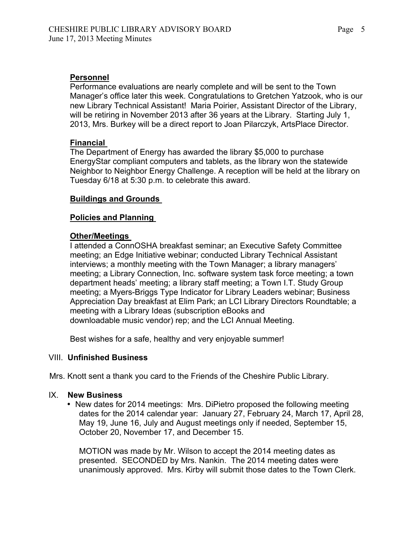# **Personnel**

Performance evaluations are nearly complete and will be sent to the Town Manager's office later this week. Congratulations to Gretchen Yatzook, who is our new Library Technical Assistant! Maria Poirier, Assistant Director of the Library, will be retiring in November 2013 after 36 years at the Library. Starting July 1, 2013, Mrs. Burkey will be a direct report to Joan Pilarczyk, ArtsPlace Director.

# **Financial**

The Department of Energy has awarded the library \$5,000 to purchase EnergyStar compliant computers and tablets, as the library won the statewide Neighbor to Neighbor Energy Challenge. A reception will be held at the library on Tuesday 6/18 at 5:30 p.m. to celebrate this award.

# **Buildings and Grounds**

# **Policies and Planning**

# **Other/Meetings**

I attended a ConnOSHA breakfast seminar; an Executive Safety Committee meeting; an Edge Initiative webinar; conducted Library Technical Assistant interviews; a monthly meeting with the Town Manager; a library managers' meeting; a Library Connection, Inc. software system task force meeting; a town department heads' meeting; a library staff meeting; a Town I.T. Study Group meeting; a Myers-Briggs Type Indicator for Library Leaders webinar; Business Appreciation Day breakfast at Elim Park; an LCI Library Directors Roundtable; a meeting with a Library Ideas (subscription eBooks and downloadable music vendor) rep; and the LCI Annual Meeting.

Best wishes for a safe, healthy and very enjoyable summer!

### VIII. **Unfinished Business**

Mrs. Knott sent a thank you card to the Friends of the Cheshire Public Library.

### IX. **New Business**

• New dates for 2014 meetings: Mrs. DiPietro proposed the following meeting dates for the 2014 calendar year: January 27, February 24, March 17, April 28, May 19, June 16, July and August meetings only if needed, September 15, October 20, November 17, and December 15.

MOTION was made by Mr. Wilson to accept the 2014 meeting dates as presented. SECONDED by Mrs. Nankin. The 2014 meeting dates were unanimously approved. Mrs. Kirby will submit those dates to the Town Clerk.